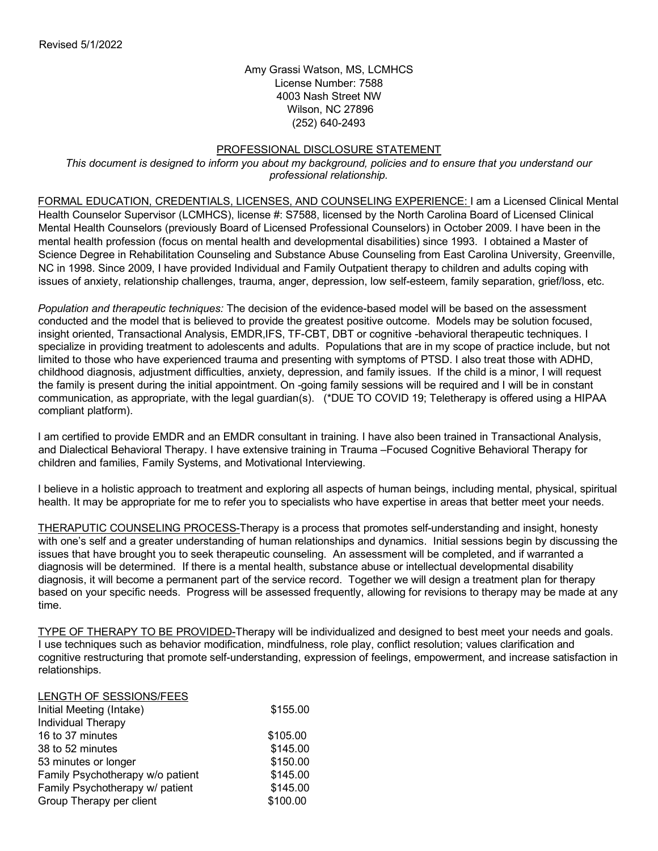Amy Grassi Watson, MS, LCMHCS License Number: 7588 4003 Nash Street NW Wilson, NC 27896 (252) 640-2493

## PROFESSIONAL DISCLOSURE STATEMENT

*This document is designed to inform you about my background, policies and to ensure that you understand our professional relationship.*

FORMAL EDUCATION, CREDENTIALS, LICENSES, AND COUNSELING EXPERIENCE: I am a Licensed Clinical Mental Health Counselor Supervisor (LCMHCS), license #: S7588, licensed by the North Carolina Board of Licensed Clinical Mental Health Counselors (previously Board of Licensed Professional Counselors) in October 2009. I have been in the mental health profession (focus on mental health and developmental disabilities) since 1993. I obtained a Master of Science Degree in Rehabilitation Counseling and Substance Abuse Counseling from East Carolina University, Greenville, NC in 1998. Since 2009, I have provided Individual and Family Outpatient therapy to children and adults coping with issues of anxiety, relationship challenges, trauma, anger, depression, low self-esteem, family separation, grief/loss, etc.

*Population and therapeutic techniques:* The decision of the evidence-based model will be based on the assessment conducted and the model that is believed to provide the greatest positive outcome. Models may be solution focused, insight oriented, Transactional Analysis, EMDR,IFS, TF-CBT, DBT or cognitive -behavioral therapeutic techniques. I specialize in providing treatment to adolescents and adults. Populations that are in my scope of practice include, but not limited to those who have experienced trauma and presenting with symptoms of PTSD. I also treat those with ADHD, childhood diagnosis, adjustment difficulties, anxiety, depression, and family issues. If the child is a minor, I will request the family is present during the initial appointment. On -going family sessions will be required and I will be in constant communication, as appropriate, with the legal guardian(s). (\*DUE TO COVID 19; Teletherapy is offered using a HIPAA compliant platform).

I am certified to provide EMDR and an EMDR consultant in training. I have also been trained in Transactional Analysis, and Dialectical Behavioral Therapy. I have extensive training in Trauma –Focused Cognitive Behavioral Therapy for children and families, Family Systems, and Motivational Interviewing.

I believe in a holistic approach to treatment and exploring all aspects of human beings, including mental, physical, spiritual health. It may be appropriate for me to refer you to specialists who have expertise in areas that better meet your needs.

THERAPUTIC COUNSELING PROCESS-Therapy is a process that promotes self-understanding and insight, honesty with one's self and a greater understanding of human relationships and dynamics. Initial sessions begin by discussing the issues that have brought you to seek therapeutic counseling. An assessment will be completed, and if warranted a diagnosis will be determined. If there is a mental health, substance abuse or intellectual developmental disability diagnosis, it will become a permanent part of the service record. Together we will design a treatment plan for therapy based on your specific needs. Progress will be assessed frequently, allowing for revisions to therapy may be made at any time.

TYPE OF THERAPY TO BE PROVIDED-Therapy will be individualized and designed to best meet your needs and goals. I use techniques such as behavior modification, mindfulness, role play, conflict resolution; values clarification and cognitive restructuring that promote self-understanding, expression of feelings, empowerment, and increase satisfaction in relationships.

| LENGTH OF SESSIONS/FEES          |          |
|----------------------------------|----------|
| Initial Meeting (Intake)         | \$155.00 |
| Individual Therapy               |          |
| 16 to 37 minutes                 | \$105.00 |
| 38 to 52 minutes                 | \$145.00 |
| 53 minutes or longer             | \$150.00 |
| Family Psychotherapy w/o patient | \$145.00 |
| Family Psychotherapy w/ patient  | \$145.00 |
| Group Therapy per client         | \$100.00 |